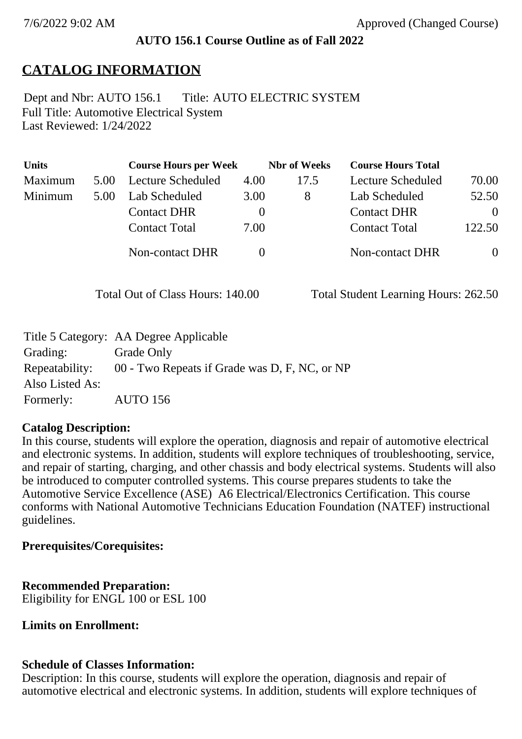### **AUTO 156.1 Course Outline as of Fall 2022**

# **CATALOG INFORMATION**

Full Title: Automotive Electrical System Last Reviewed: 1/24/2022 Dept and Nbr: AUTO 156.1 Title: AUTO ELECTRIC SYSTEM

| <b>Units</b> |      | <b>Course Hours per Week</b> |          | <b>Nbr</b> of Weeks | <b>Course Hours Total</b> |                |
|--------------|------|------------------------------|----------|---------------------|---------------------------|----------------|
| Maximum      | 5.00 | Lecture Scheduled            | 4.00     | 17.5                | Lecture Scheduled         | 70.00          |
| Minimum      | 5.00 | Lab Scheduled                | 3.00     | 8                   | Lab Scheduled             | 52.50          |
|              |      | <b>Contact DHR</b>           | $\theta$ |                     | <b>Contact DHR</b>        | $\Omega$       |
|              |      | <b>Contact Total</b>         | 7.00     |                     | <b>Contact Total</b>      | 122.50         |
|              |      | Non-contact DHR              |          |                     | Non-contact DHR           | $\overline{0}$ |

Total Out of Class Hours: 140.00 Total Student Learning Hours: 262.50

|                 | Title 5 Category: AA Degree Applicable        |
|-----------------|-----------------------------------------------|
| Grading:        | Grade Only                                    |
| Repeatability:  | 00 - Two Repeats if Grade was D, F, NC, or NP |
| Also Listed As: |                                               |
| Formerly:       | <b>AUTO 156</b>                               |

### **Catalog Description:**

In this course, students will explore the operation, diagnosis and repair of automotive electrical and electronic systems. In addition, students will explore techniques of troubleshooting, service, and repair of starting, charging, and other chassis and body electrical systems. Students will also be introduced to computer controlled systems. This course prepares students to take the Automotive Service Excellence (ASE) A6 Electrical/Electronics Certification. This course conforms with National Automotive Technicians Education Foundation (NATEF) instructional guidelines.

### **Prerequisites/Corequisites:**

**Recommended Preparation:**

Eligibility for ENGL 100 or ESL 100

### **Limits on Enrollment:**

#### **Schedule of Classes Information:**

Description: In this course, students will explore the operation, diagnosis and repair of automotive electrical and electronic systems. In addition, students will explore techniques of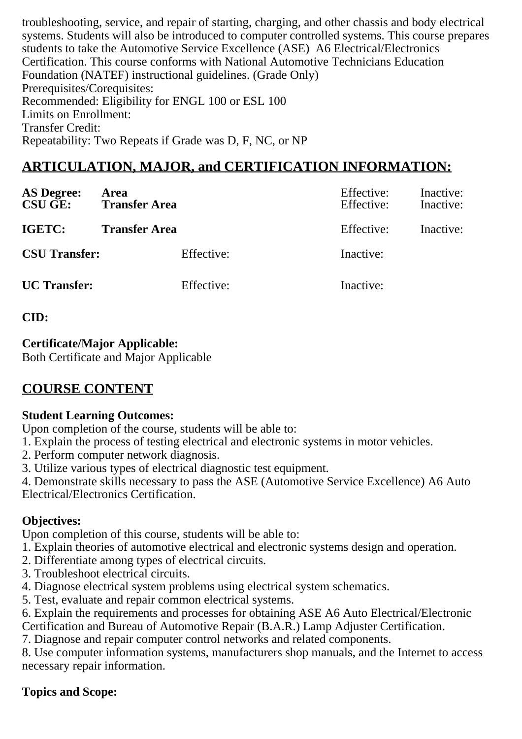troubleshooting, service, and repair of starting, charging, and other chassis and body electrical systems. Students will also be introduced to computer controlled systems. This course prepares students to take the Automotive Service Excellence (ASE) A6 Electrical/Electronics Certification. This course conforms with National Automotive Technicians Education Foundation (NATEF) instructional guidelines. (Grade Only) Prerequisites/Corequisites: Recommended: Eligibility for ENGL 100 or ESL 100 Limits on Enrollment: Transfer Credit: Repeatability: Two Repeats if Grade was D, F, NC, or NP

# **ARTICULATION, MAJOR, and CERTIFICATION INFORMATION:**

| <b>AS Degree:</b><br><b>CSU GE:</b> | Area<br><b>Transfer Area</b> | Effective:<br>Effective: | Inactive:<br>Inactive: |
|-------------------------------------|------------------------------|--------------------------|------------------------|
| IGETC:                              | <b>Transfer Area</b>         | Effective:               | Inactive:              |
| <b>CSU Transfer:</b>                | Effective:                   | Inactive:                |                        |
| <b>UC</b> Transfer:                 | Effective:                   | Inactive:                |                        |

**CID:**

### **Certificate/Major Applicable:**

[Both Certificate and Major Applicable](SR_ClassCheck.aspx?CourseKey=AUTO156.1)

# **COURSE CONTENT**

### **Student Learning Outcomes:**

Upon completion of the course, students will be able to:

- 1. Explain the process of testing electrical and electronic systems in motor vehicles.
- 2. Perform computer network diagnosis.
- 3. Utilize various types of electrical diagnostic test equipment.

4. Demonstrate skills necessary to pass the ASE (Automotive Service Excellence) A6 Auto Electrical/Electronics Certification.

## **Objectives:**

Upon completion of this course, students will be able to:

- 1. Explain theories of automotive electrical and electronic systems design and operation.
- 2. Differentiate among types of electrical circuits.
- 3. Troubleshoot electrical circuits.
- 4. Diagnose electrical system problems using electrical system schematics.

5. Test, evaluate and repair common electrical systems.

6. Explain the requirements and processes for obtaining ASE A6 Auto Electrical/Electronic

Certification and Bureau of Automotive Repair (B.A.R.) Lamp Adjuster Certification.

7. Diagnose and repair computer control networks and related components.

8. Use computer information systems, manufacturers shop manuals, and the Internet to access necessary repair information.

### **Topics and Scope:**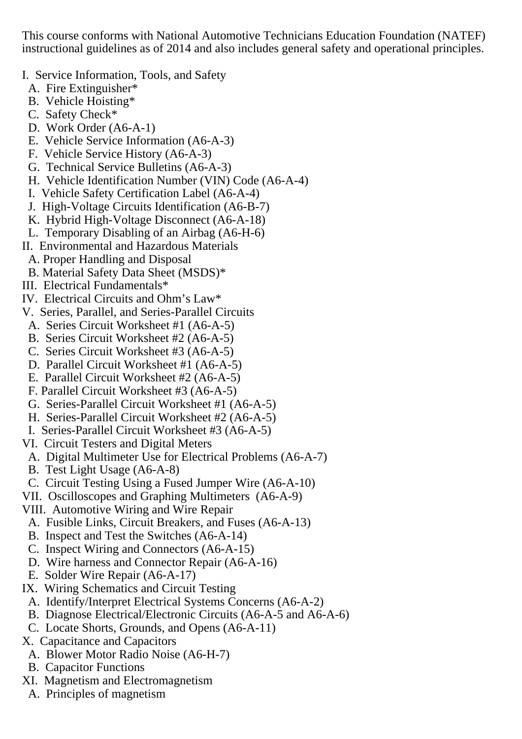This course conforms with National Automotive Technicians Education Foundation (NATEF) instructional guidelines as of 2014 and also includes general safety and operational principles.

- I. Service Information, Tools, and Safety
- A. Fire Extinguisher\*
- B. Vehicle Hoisting\*
- C. Safety Check\*
- D. Work Order (A6-A-1)
- E. Vehicle Service Information (A6-A-3)
- F. Vehicle Service History (A6-A-3)
- G. Technical Service Bulletins (A6-A-3)
- H. Vehicle Identification Number (VIN) Code (A6-A-4)
- I. Vehicle Safety Certification Label (A6-A-4)
- J. High-Voltage Circuits Identification (A6-B-7)
- K. Hybrid High-Voltage Disconnect (A6-A-18)
- L. Temporary Disabling of an Airbag (A6-H-6)
- II. Environmental and Hazardous Materials
	- A. Proper Handling and Disposal
- B. Material Safety Data Sheet (MSDS)\*
- III. Electrical Fundamentals\*
- IV. Electrical Circuits and Ohm's Law\*
- V. Series, Parallel, and Series-Parallel Circuits
- A. Series Circuit Worksheet #1 (A6-A-5)
- B. Series Circuit Worksheet #2 (A6-A-5)
- C. Series Circuit Worksheet #3 (A6-A-5)
- D. Parallel Circuit Worksheet #1 (A6-A-5)
- E. Parallel Circuit Worksheet #2 (A6-A-5)
- F. Parallel Circuit Worksheet #3 (A6-A-5)
- G. Series-Parallel Circuit Worksheet #1 (A6-A-5)
- H. Series-Parallel Circuit Worksheet #2 (A6-A-5)
- I. Series-Parallel Circuit Worksheet #3 (A6-A-5)
- VI. Circuit Testers and Digital Meters
- A. Digital Multimeter Use for Electrical Problems (A6-A-7)
- B. Test Light Usage (A6-A-8)
- C. Circuit Testing Using a Fused Jumper Wire (A6-A-10)
- VII. Oscilloscopes and Graphing Multimeters (A6-A-9)
- VIII. Automotive Wiring and Wire Repair
- A. Fusible Links, Circuit Breakers, and Fuses (A6-A-13)
- B. Inspect and Test the Switches (A6-A-14)
- C. Inspect Wiring and Connectors (A6-A-15)
- D. Wire harness and Connector Repair (A6-A-16)
- E. Solder Wire Repair (A6-A-17)
- IX. Wiring Schematics and Circuit Testing
- A. Identify/Interpret Electrical Systems Concerns (A6-A-2)
- B. Diagnose Electrical/Electronic Circuits (A6-A-5 and A6-A-6)
- C. Locate Shorts, Grounds, and Opens (A6-A-11)
- X. Capacitance and Capacitors
	- A. Blower Motor Radio Noise (A6-H-7)
- B. Capacitor Functions
- XI. Magnetism and Electromagnetism
	- A. Principles of magnetism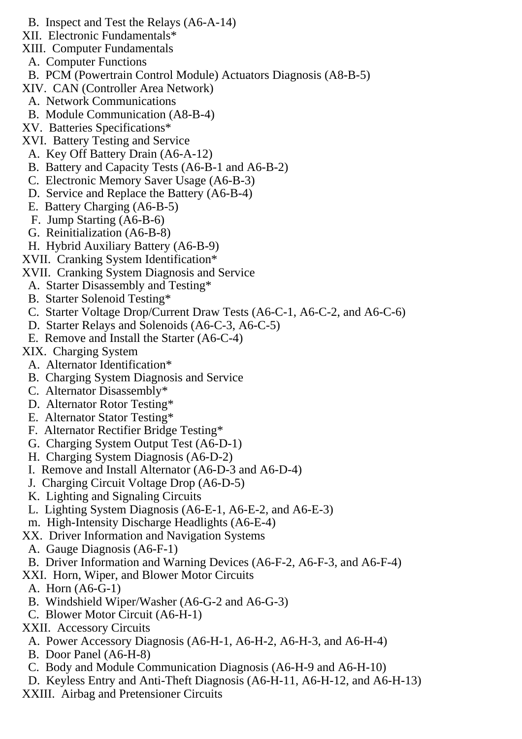- B. Inspect and Test the Relays (A6-A-14)
- XII. Electronic Fundamentals\*
- XIII. Computer Fundamentals
	- A. Computer Functions
- B. PCM (Powertrain Control Module) Actuators Diagnosis (A8-B-5)
- XIV. CAN (Controller Area Network)
- A. Network Communications
- B. Module Communication (A8-B-4)
- XV. Batteries Specifications\*
- XVI. Battery Testing and Service
	- A. Key Off Battery Drain (A6-A-12)
	- B. Battery and Capacity Tests (A6-B-1 and A6-B-2)
	- C. Electronic Memory Saver Usage (A6-B-3)
	- D. Service and Replace the Battery (A6-B-4)
	- E. Battery Charging (A6-B-5)
	- F. Jump Starting (A6-B-6)
	- G. Reinitialization (A6-B-8)
- H. Hybrid Auxiliary Battery (A6-B-9)
- XVII. Cranking System Identification\*
- XVII. Cranking System Diagnosis and Service
- A. Starter Disassembly and Testing\*
- B. Starter Solenoid Testing\*
- C. Starter Voltage Drop/Current Draw Tests (A6-C-1, A6-C-2, and A6-C-6)
- D. Starter Relays and Solenoids (A6-C-3, A6-C-5)
- E. Remove and Install the Starter (A6-C-4)
- XIX. Charging System
	- A. Alternator Identification\*
	- B. Charging System Diagnosis and Service
	- C. Alternator Disassembly\*
- D. Alternator Rotor Testing\*
- E. Alternator Stator Testing\*
- F. Alternator Rectifier Bridge Testing\*
- G. Charging System Output Test (A6-D-1)
- H. Charging System Diagnosis (A6-D-2)
- I. Remove and Install Alternator (A6-D-3 and A6-D-4)
- J. Charging Circuit Voltage Drop (A6-D-5)
- K. Lighting and Signaling Circuits
- L. Lighting System Diagnosis (A6-E-1, A6-E-2, and A6-E-3)
- m. High-Intensity Discharge Headlights (A6-E-4)
- XX. Driver Information and Navigation Systems
- A. Gauge Diagnosis (A6-F-1)
- B. Driver Information and Warning Devices (A6-F-2, A6-F-3, and A6-F-4)
- XXI. Horn, Wiper, and Blower Motor Circuits
- A. Horn (A6-G-1)
- B. Windshield Wiper/Washer (A6-G-2 and A6-G-3)
- C. Blower Motor Circuit (A6-H-1)
- XXII. Accessory Circuits
- A. Power Accessory Diagnosis (A6-H-1, A6-H-2, A6-H-3, and A6-H-4)
- B. Door Panel (A6-H-8)
- C. Body and Module Communication Diagnosis (A6-H-9 and A6-H-10)
- D. Keyless Entry and Anti-Theft Diagnosis (A6-H-11, A6-H-12, and A6-H-13)
- XXIII. Airbag and Pretensioner Circuits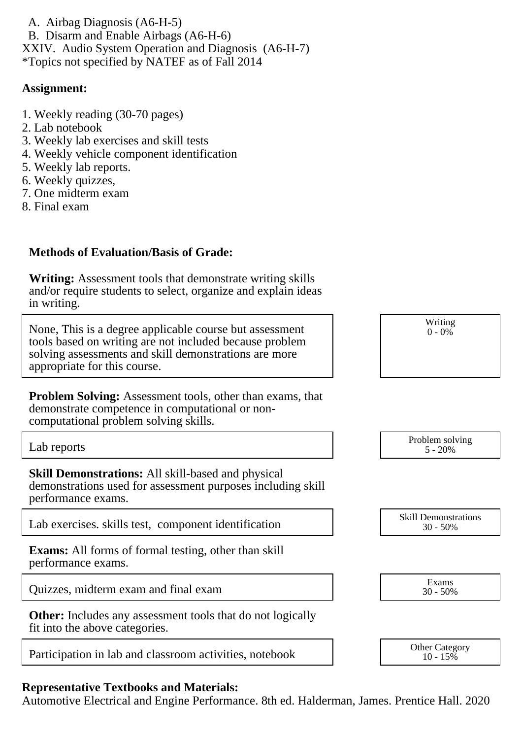A. Airbag Diagnosis (A6-H-5) B. Disarm and Enable Airbags (A6-H-6) XXIV. Audio System Operation and Diagnosis (A6-H-7) \*Topics not specified by NATEF as of Fall 2014

#### **Assignment:**

- 1. Weekly reading (30-70 pages)
- 2. Lab notebook
- 3. Weekly lab exercises and skill tests
- 4. Weekly vehicle component identification
- 5. Weekly lab reports.
- 6. Weekly quizzes,
- 7. One midterm exam
- 8. Final exam

### **Methods of Evaluation/Basis of Grade:**

**Writing:** Assessment tools that demonstrate writing skills and/or require students to select, organize and explain ideas in writing.

None, This is a degree applicable course but assessment tools based on writing are not included because problem solving assessments and skill demonstrations are more appropriate for this course.

**Problem Solving:** Assessment tools, other than exams, that demonstrate competence in computational or noncomputational problem solving skills.

**Skill Demonstrations:** All skill-based and physical demonstrations used for assessment purposes including skill performance exams.

Lab exercises. skills test, component identification

**Exams:** All forms of formal testing, other than skill performance exams.

Quizzes, midterm exam and final exam

**Other:** Includes any assessment tools that do not logically fit into the above categories.

Participation in lab and classroom activities, notebook

## **Representative Textbooks and Materials:**

Automotive Electrical and Engine Performance. 8th ed. Halderman, James. Prentice Hall. 2020

| Writing $0 - 0\%$ |  |
|-------------------|--|
|                   |  |
|                   |  |
|                   |  |

| Lab reports | Problem solving<br>20%<br>$\overline{\phantom{0}}$ |
|-------------|----------------------------------------------------|
|             |                                                    |

| <b>Skill Demonstrations</b> |
|-----------------------------|
| $30 - 50\%$                 |

| Exams       |  |
|-------------|--|
| $30 - 50\%$ |  |

| Other Category |  |
|----------------|--|
| $10 - 15\%$    |  |